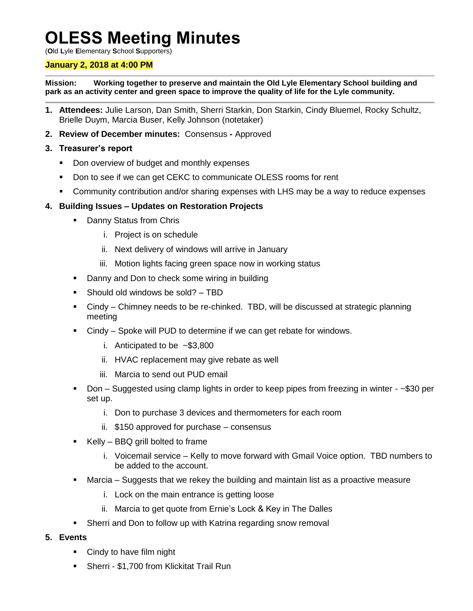# **OLESS Meeting Minutes**

(**O**ld **L**yle **E**lementary **S**chool **S**upporters)

### **January 2, 2018 at 4:00 PM**

**Mission: Working together to preserve and maintain the Old Lyle Elementary School building and park as an activity center and green space to improve the quality of life for the Lyle community.**

- **1. Attendees:** Julie Larson, Dan Smith, Sherri Starkin, Don Starkin, Cindy Bluemel, Rocky Schultz, Brielle Duym, Marcia Buser, Kelly Johnson (notetaker)
- **2. Review of December minutes:** Consensus **-** Approved

### **3. Treasurer's report**

- Don overview of budget and monthly expenses
- **Don to see if we can get CEKC to communicate OLESS rooms for rent**
- Community contribution and/or sharing expenses with LHS may be a way to reduce expenses

## **4. Building Issues – Updates on Restoration Projects**

- **-** Danny Status from Chris
	- i. Project is on schedule
	- ii. Next delivery of windows will arrive in January
	- iii. Motion lights facing green space now in working status
- Danny and Don to check some wiring in building
- Should old windows be sold? TBD
- Cindy Chimney needs to be re-chinked. TBD, will be discussed at strategic planning meeting
- Cindy Spoke will PUD to determine if we can get rebate for windows.
	- i. Anticipated to be ~\$3,800
	- ii. HVAC replacement may give rebate as well
	- iii. Marcia to send out PUD email
- Don Suggested using clamp lights in order to keep pipes from freezing in winter ~\$30 per set up.
	- i. Don to purchase 3 devices and thermometers for each room
	- ii. \$150 approved for purchase consensus
- Kelly BBQ grill bolted to frame
	- i. Voicemail service Kelly to move forward with Gmail Voice option. TBD numbers to be added to the account.
- Marcia Suggests that we rekey the building and maintain list as a proactive measure
	- i. Lock on the main entrance is getting loose
	- ii. Marcia to get quote from Ernie's Lock & Key in The Dalles
- Sherri and Don to follow up with Katrina regarding snow removal

#### **5. Events**

- Cindy to have film night
- Sherri \$1,700 from Klickitat Trail Run